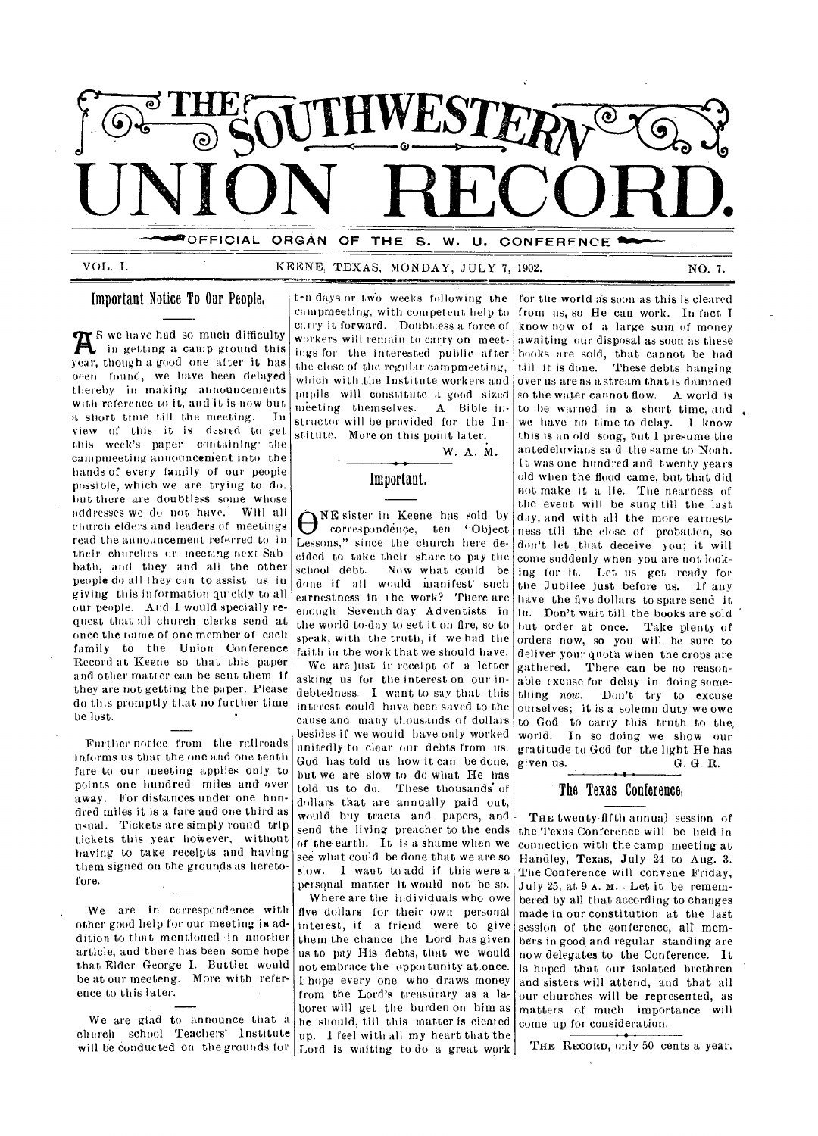

OFFICIAL ORGAN OF THE S. W. U. CONFERENCE

VOL. I. KEENE, TEXAS, MONDAY, JULY 7, 1902. NO. 7.

# Important Notice To Oar People,

 $\mathbf{R}^{\text{S we have had so much difficulty}}$ in getting a camp ground this year, though a good one after it has been found, we have been delayed thereby in making announcements with reference to it, and it is now but a short time till the meeting. In view of this it is desred to get this week's paper containing the campmeeting announcenient into the hands of every family of our people possible, which we are trying to do. hut there are doubtless some whose addresses we do not have. Will all church elders and leaders of meetings read the announcement referred to in their churches or meeting next Sabbath, and they and all the other people do all they can to assist us in giving this information quickly to all our people. And I would specially request that all church clerks send at once the name of one member of each family to the Union Conference Record at Keene so that this paper and other matter can be sent them if they are not getting the paper. Please do this promptly that no further time be lost.

Further notice from the railroads informs us that the one and one tenth fare to our meeting applies only to points one hundred miles and-over away. For distances under one hundred miles it is a fare and one third as usual. Tickets are simply round trip tickets this year however, without having to take receipts and having them signed on the grounds as heretofore.

We are in correspondence with other good help for our meeting in, addition to that mentioned in another article, and there has been some hope that Elder George I. Bottler would be at our meeteng. More with reference to this later.

We are glad to announce that a church school Teachers' Institute up. I feel with all my heart that the will be conducted on the grounds for Lord is waiting to do a great work

t-n days or two weeks following the campmeeting, with competent help to carry it forward. Doubtless a force of workers will remain to carry on meetings for the interested public after the close of the regular campmeeting, Which with .the Institute workers and pupils will constitute a good sized meeting themselves. A Bible instructor will be provided for the Institute. More on this point later..

# Important.

W. A. M.

 $\bigoplus_{\text{correspondence, ten}}^{\text{NE sister in Keene has sold by}}$ correspondence, ten "Object. Lessons," since the church here de- don't let that deceive you; it will cided to take their share to pay the school debt. Now what could be done if all would manifest such earnestness in the work? There are enough Seventh day Adventists in the world to-day to set it on fire, so to speak, with the truth, if we had the faith in the work that we should have.

We ara just in receipt of a letter asking us for the interest on our indebtedness. I want to say that this interest could have been saved to the cause and many thousands of dollars besides if we would have only worked unitedly to clear our debts from us. God has told us how it can be done, but we are slow to do what He has told us to do. These thousands of dollars that are annually paid out, would buy tracts and papers, and send the living preacher to the ends of the earth. It is a shame when we see what could be done that we are so slow. I want to add if this were a personal matter it would not be so.

Where are the individuals who owe five dollars for their own personal interest, if a friend were to give them the chance the Lord has given us to pay His debts, that we would not embrace the opportunity at,once. I hope every one who. draws money from the Lord's treasurary as a laborer will get the burden on him as he should, till this matter is cleared

for the world as soon as this is cleared from us, so He can work. In fact I know now of a large sum of money awaiting our disposal as soon as these hooks are sold, that cannot be had till it is done. These debts hanging over us are as a stream that is dammed so the water cannot flow. A world is to he warned *in* a short time, and we have no time to delay. I know this is an old song, but I presume the antedeluvians said the same to Noah. It was one hundred arid twenty years old when the flood came, but that did not make it a lie. The nearness of the event will be sung till the last day, and with all the more earnestness till the close of probation, so come suddenly when you are not looking for it. Let us get ready for the Jubilee just before us. If any have the five dollars. to spare send it in. Don't wait till the books are sold hut order at once. Take plenty of orders now, so you will he sure to deliver your quota when the crops are gathered. There can be no reasonable excuse for delay in doing something now. Don't try to excuse ourselves; it is a solemn duty we owe to God to carry this truth to the, world. In so doing we show our gratitude to God for the light He has<br>given us.  $\qquad \qquad \text{G. } \text{G. } \text{R.}$ G. G. R.

# The Texas Conference,

THE twenty-fifth annual session of the Texas Conference will be held in connection with the camp meeting at Handley, Texas, July 24 to Aug. 3. The Conference will convene Friday, July 25, at 9 A. M.. Let it be remembered by all that according to changes made in our constitution at the last session of the conference, all members in good, and regular standing are now delegates to the Conference. It is hoped that our isolated brethren and sisters will attend, and that all our churches will be represented, as matters of much importance will come up for consideration.

THE RECORD, only 50 cents a year.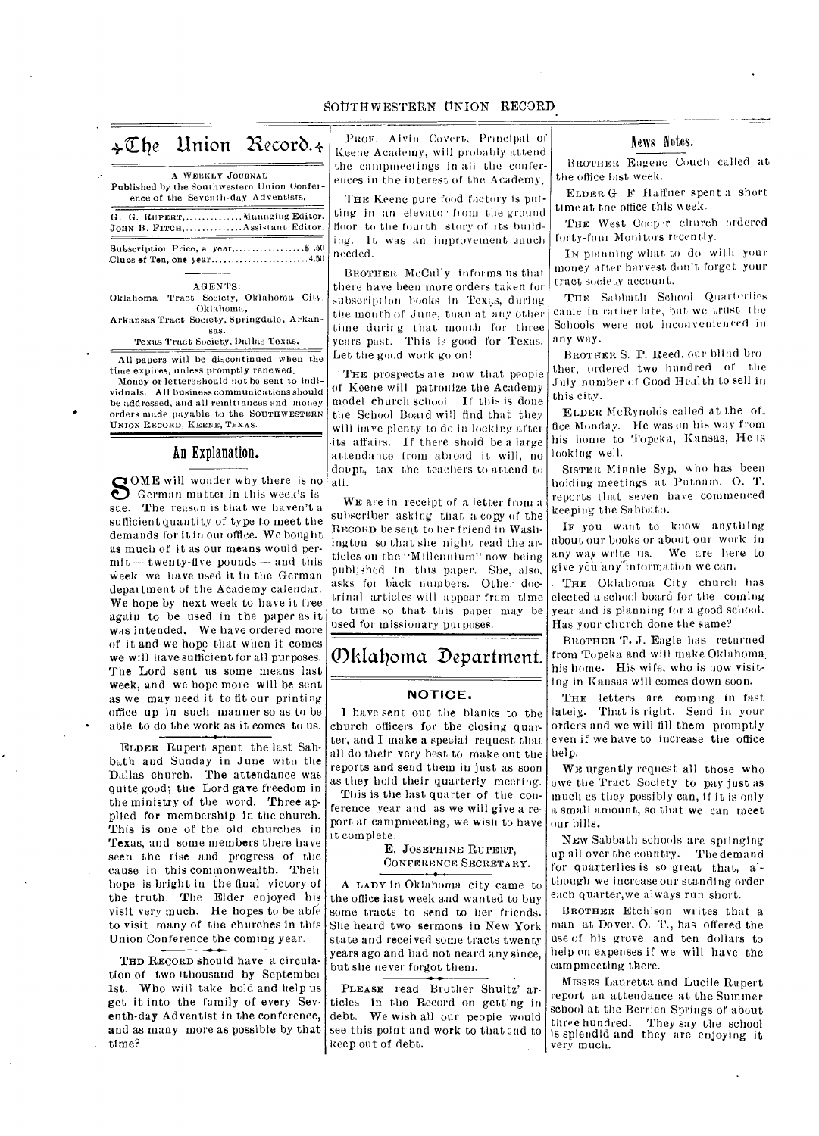# SOUTHWESTERN UNION RECORD

# $\triangle\mathbb{C}$ he Union Record.4

|  | A WEEKLY JOURNAL                                                                   |
|--|------------------------------------------------------------------------------------|
|  | Published by the Southwestern Union Confer-<br>ence of the Seventh-day Adventists. |
|  | G G Ruperer Managing Editor.                                                       |

G. G. RUPERT, ...............Managing Editor.<br>John B. Firch, ...............Assistant Editor.

Subscription Price, a year, .................... \$ .50 Clubs of Ton, one year  $\dots\dots\dots\dots\dots\dots\dots$ 4.50

### AGENTS:

Oklahoma Tract Society, Oklahoma City. Oklahoma, Arkansas Tract Society, Springdale, Arkan-

#### sas. Texas Tract Society, Dallas Texas.

All papers will be discontinued when the time expires, unless promptly renewed.

Money or letters should not he sent to individuals. All business communications should be addressed, and all remittances and money • orders made payable to the SOUTHWESTERN UNION RECORD, KEENE, TEXAS.

# An Explanation.

SOME will wonder why there is no<br>
German matter in this week's is-<br>
The reason is that we haven't a German matter in this week's issue. The reason is that we haven't a. sufficient quantity of type to meet the demands for it in our office. We bought as much of it as our means would per $mit -$  twenty-five pounds  $-$  and this Week we have used it in the German department of the Academy calendar. We hope by next week to have it free again to be used in the paper as it was intended. We have ordered more of it and we hope that when it comes we will have sufficient for all purposes. The Lord sent us some means last week, and we hope more will be sent as we may need it to tit our printing office up in such manner so as to be able to do the work as it comes to us.

ELDER Rupert spent the last Sabbath and Sunday in June with the Dallas church. The attendance was quite good; the Lord gave freedom in the ministry of the word. Three applied for membership in the church. This is one of the old churches in Texas, and some members there have seen the rise and progress of the cause in this commonwealth. Their hope is bright in the final victory of the truth. The. Elder enjoyed his visit very much. He hopes to be able to visit many of the churches in this Union Conference the coming year.

THD RECORD should have a circulation of two 'thousand by September 1st. Who will take hold and help us get it into the family of every Seventh-day Adventist in the conference, and as many more as possible by that time?

PROF. Alvin Covert, Principal of Keene Academy, will probably attend the campmeetings in all the conferences in the interest of the Academy,

THE Keene pure food factory is putting in an elevator from the ground floor to the fourth story of its building. It was an improvement much needed.

BROTHER McCully informs us that there have been more orders taken for subscription books in Texas, during the month of June, than at any other time during that month for three years past. This is good for Texas. Let the good work go on!

THE prospects are now that people of Keene will patronize the Academy model church school. If this is done the School Board will find that they will have plenty to do in looking after •its affairs. If there shold be a large attendance from abroad it will, no doupt, tax the teachers to attend to all.

WE are in receipt of a letter from a subscriber asking that a copy of the RECORD be sent to her friend in Washington so that she night read the articles on the "Millennium" now being published in this paper. She, also, asks for back numbers. Other doctrinal articles will appear from time to time so that this paper may be used for missionary purposes.

# Oklahoma Department.

# **NOTICE.**

1 have sent out the blanks to the church officers for the closing quarter, and I make a special request that all do their very best to make out the reports and send them in just as soon as they hold their quarterly meeting.

This is the last quarter of the conference year and as we will give a report at campmeeting, we wish to have it complete.

E. JOSEPHINE RUPERT, CONFERENCE SECRETARY.

A LADY in Oklahoma city came to the office last week and wanted to buy some tracts to send to her friends. She heard two sermons in New York state and received some tracts twenty years ago and had not neard any since, but she never forgot them.

PLEASE read Brother Shultz' articles in tho Record on getting in debt. We wish all our people would see this point and work to that end to keep out of debt.

### News Notes.

BROTHER Eugene Couch called at the office last week.

ELDER G F Haffner spent a short time at the office this week.

THE West Cooper church ordered forty-four Monitors recently.

IN planning what to do with your money after harvest don't forget your tract society account.

THE Sabbath School Quarterlies came in rather late, but we trust the Schools were not inconvenienced in any way.

BROTHER S. P. Reed. our blind brother, ordered two hundred of tile July number of Good Health to sell in this city.

ELDER MeRynolds called at the of\_ fice Monday. He was on his way from his home to Topeka, Kansas, He is looking well.

SISTER Minnie Syp, who has been holding meetings at Putnam, 0. T. reports that seven have commenced keeping the Sabbath.

IF you want to know anything about our books or about our work in any way write us. We are here to give you anyiuformation we can.

THE Oklahoma City church has elected a school board for the coming year and is planning for a good school. Has your church done the same?

BROTHER T. J. Eagle has returned from Topeka and will make Oklahoma. his home. His wife, who is now visiting in Kansas will comes down soon.

THE letters are coming in fast lately.. That is right. Send in your orders and we will fill them promptly even if we have to increase the office help.

WE urgently request all those who owe the Tract Society to pay just as much as they possibly can, if it is only a small amount, so that we can meet our bills.

NEW Sabbath schools are springing up all over the country. The demand for quarterlies is so great that, although we increase our standing order each quarter,we always run short.

BROTHER Etchison writes that a man at Dover, 0. T., has offered the use of his grove and ten dollars to help on expenses if we will have the campmeeting there.

MISSES Lauretta and Lucile Rupert, report an attendance at the Summer school at the Berrien Springs of about three hundred. They say the school is splendid and they are enjoying it very much.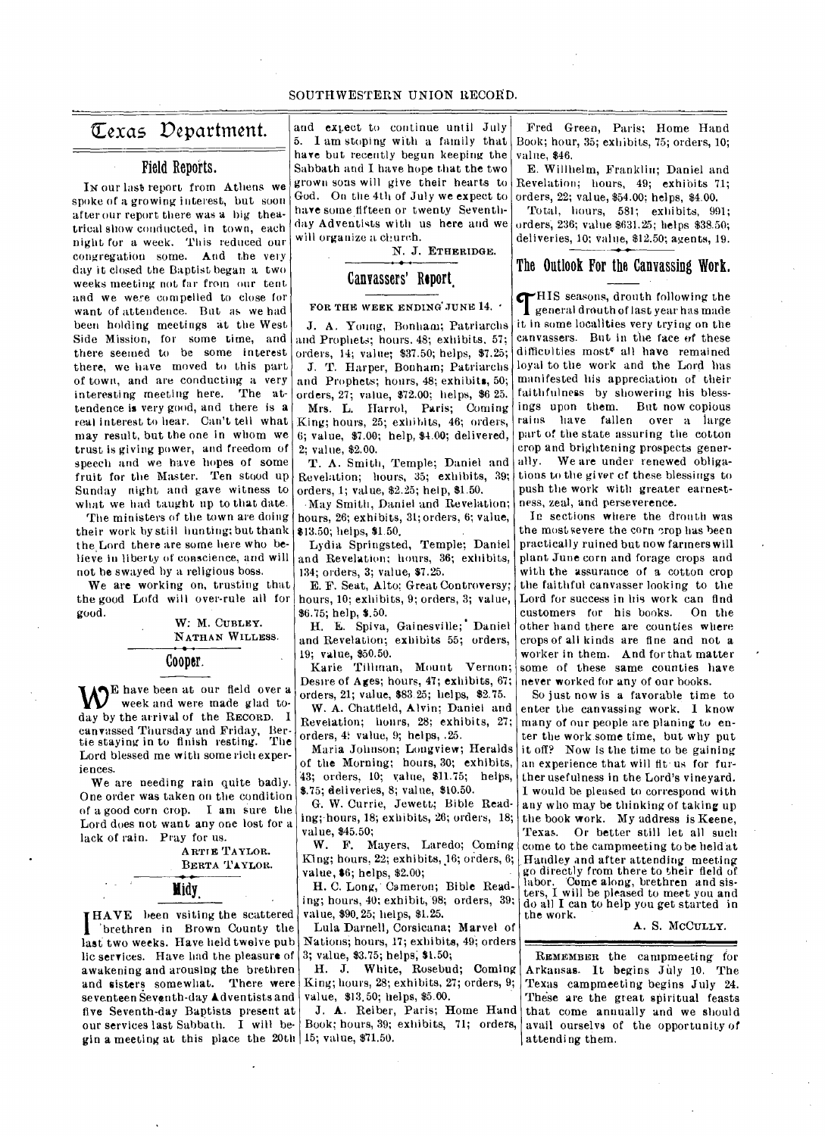# SOUTHWESTERN UNION RECORD.

# ft exas Department.

# Field Reports.

In our last report from Athens we spoke of a growing interest, but soon after our report there was a big theatrical show conducted, in town, each night for a week. This reduced our congregation some. And the very day it closed the Baptist began a two weeks meeting not far from our tent and we were compelled to close for want of attendence. But as we had been holding meetings at the West Side Mission, for some time, and there seemed to be some interest there, we have moved to this part of town, and are conducting a very interesting meeting here. The attendence is very good, and there is a real interest to hear. Can't tell what may result, but the one in whom we trust is giving power, and freedom of speech and we have hopes of some fruit for the Master. Ten stood up Sunday night and gave witness to what we had taught up to that date.

The ministers of the town are doing their work by still hunting; but thank the Lord there are some here who believe in liberty of conscience, and will not he swayed by a religious boss.

We are working on, trusting that the good Lofd will over-rule all for good.

W: M. CUBLEY. NATHAN WILLESS.

Cooper.

WE have been at our field over a week and were made glad to- $\mathbf{W}^{\text{E}}$  have been at our field over a  $\frac{d}{dx}$  or week and were made glad to-<br>day by the arrival of the RECORD. I canvassed Thursday and Friday, Ber-tie staying in to finish resting. The Lord blessed me with some rich experiences.

We are needing rain quite badly. One order was taken on the condition of a good corn crop. I ant sure the Lord does not want any one lost for a lack of rain. Pray for us.

> ARTIE TAYLOR. BERTA TAYLOR.

**Midy,** 

gin a meeting at this place the  $20$ th 15; value, \$71.50. **HAVE** been vsiting the scattered I brethren in Brown County the last two weeks. Have held twelve pub lie services. Have had the pleasure of awakening and arousing the brethren and sisters somewhat. There were seventeen Seventh-day **kdventists** and five Seventh-day Baptists present at our services last Sabbath. I will be-

and extect to continue until July 5. I am stoping with a family that have but recently begun keeping the Sabbath and I have hope that the two grown sons will give their hearts to God. On the 4th of July we expect to have some fifteen or twenty Seventhday Adventists with us here and we will organize a church.

N. J. ETHERIDGE.

# Canvassers' Report

#### FOR THE WEEK ENDING JUNE 14.

J. A. Young, Bonham; Patriarchs and Prophets; hours. 48; exhibits. 57; orders, 14; value; \$37.50; helps, \$7.25;

J. T. Harper, Bonham; Patriarchs and Prophets; hours, 48; exhibits, 50; orders, 27; value, \$72.00; helps, \$6 25. Mrs. L. Harrol, Paris; Coming King; hours, 25; exhibits, 46; orders, 6; value, \$7.00; help, \$4.00; delivered, 2; value, \$2.00.

T. A. Smith, Temple; Daniel and Revelation; hours, 35; exhibits, 39; orders, 1; value, \$2.25; help, \$1.50.

•May Smith, Daniel and Revelation; hours, 26; exhibits, 31; orders, 6; value, \$13.50; helps, \$1.50,

Lydia Springsted, Temple; Daniel and Revelation; hours, 36; exhibits, 134; orders, 3; value, \$7.25.

E. F. Seat, Alto; Great Controversy; hours, 10; exhibits, 9; orders, 3; value, \$6.75; help, \$.50.

H. E. Spiva, Gainesville; Daniel and Revelation; exhibits 55; orders, 19; value, \$50.50.

Karie Tillman, Mount Vernon; Desire of Ages; hours, 47; exhibits, 67; orders, 21; value, \$83.25; helps, \$2.75.

W. A. Chatfield, Alvin; Daniel and Revelation; hours, 28; exhibits, 27; orders, 4: value, 9; helps, .25.

Maria Johnson; Longview; Heralds of the Morning; hours, 30; exhibits, 43; orders. 10; value, \$11.75; helps, \$.75; deliveries, 8; value, \$10.50.

G. W. Currie, Jewett; Bible Reading; hours, 18; exhibits, 26; orders, 18; value, \$45.50;

W. F. Mayers, Laredo; Coming -King; hours, 22; exhibits, 16; orders, 6; value, \$6; helps, \$2.00;

H. C. Long,' Cameron; Bible Reading; hours, 40; exhibit, 98; orders, 39; value, \$90,25; helps, \$1.25.

Lula Darnell, Corsicana; Marvel of Nations; hours, 17; exhibits, 49; orders 3; value, \$3.75; helps; \$1.50;

H. J. White, Rosebud; Coming King; hours, 28; exhibits, 27; orders, 9; value, \$13,50; helps, \$5.00.

J. **A.** Reiber, Paris; Home Hand Book; hours, 39; exhibits, 71; orders,

Fred Green, Paris; Home Hand Book; hour, 35; exhibits, 75; orders, 10; value, \$46.

E. Willhelm, Franklin; Daniel and Revelation; hours, 49; exhibits 71; orders, 22; value, \$54.00; helps, \$4.00.

Total, hours, 581; exhibits. 991; orders; 236; value \$631.25; helps \$38.50; deliveries, 10; value, \$12.50; agents, 19.

# The Outlook For the Canvassing Work.

**crHIS** seasons, drouth following the I general drouth of last year has made it in some localities very trying on the canvassers. But in the face of these difficulties most<sup>\*</sup> all have remained loyal to the work and the Lord has manifested his appreciation of their faithfulness by showering his blessings upon them. But now copious rains have fallen over a large part of the state assuring the cotton crop and brightening prospects generally. We are under renewed obligations to the giver of these blessings to push the work with greater earnestness, zeal, and perseverence.

In sections where the drouth was the most severe the corn crop has been practically ruined but now farmers will plant June corn and forage crops arid with the assurance of a cotton crop the faithful canvasser looking to the Lord for success in his work can find customers for his books. On the other hand there are counties where crops of all kinds are fine and not a worker in them. And for that matter some of these same counties have never worked for any of our books.

So just now is a favorable time to enter the canvassing work. I know many of our people are planing to enter the work.some time, but why put it off? Now is the time to be gaining an experience that will fit us for further usefulness in the Lord's vineyard. I would be pleased to correspond with any who may be thinking of taking up the book work. My address is Keene, Texas. Or better still let all such come to the campmeeting to be heldat Handley and after attending meeting go directly from there to their field of labor. Come along, brethren and sisters, I will be pleased to meet you and do all I can to help you get started in the work.

#### A. S. McCuLLY.

REMEMBER the campmeeting for Arkansas. It begins July 10. The Texas campmeeting begins July 24. These are the great spiritual feasts that come annually and we should avail ourselvs of the opportunity of attending them.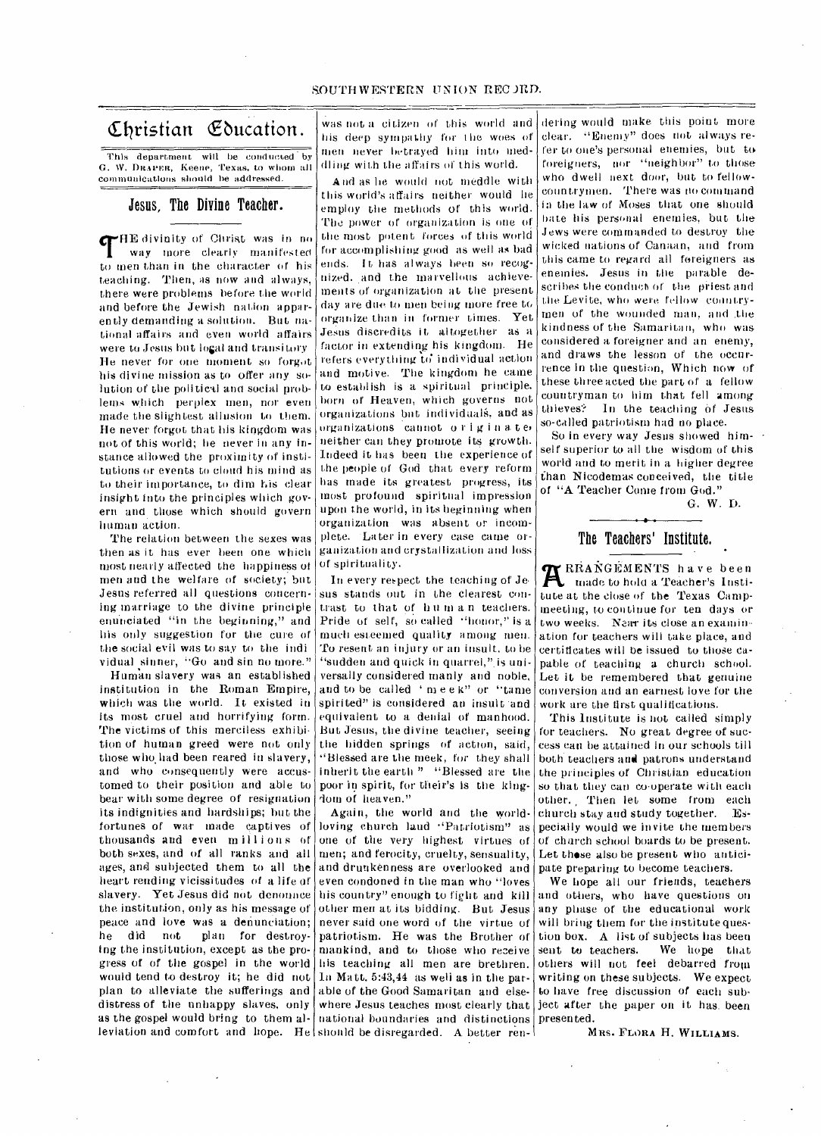Christian Education.

This department will be conducted by G. W. DRAPER, Keene, Texas, to whom all COMmunications should he addressed.

Jesus, The Divine Teacher.

CrHE divinity of Christ was in no way more clearly manifested to men than in the character of his Leaching. Then, as now and always, there were problems before the world and before the Jewish nation apparently demanding a solution. But national affairs and even world affairs were to Jesus but logal and transitory He never for one moment so forgot his divine mission as to offer any solution of the political and social problems which perplex men, nor even made the slightest allusion to them. He never forgot that his kingdom was not of this world; he never in any instance allowed the proximity of institutions or events to cloud his mind as to their importance, to dim his clear insight into the principles which govern and those which should govern Truman action.

The relation between the sexes was then as it has ever been one which most nearly affected the happiness 01 men and the welfare of society; but Jesus referred all questions concerning marriage to the divine principle enunciated "in the beginning," and his only suggestion for the cure of the social evil was to say to the indi vidual sinner, "Go and sin no more."

Human slavery was an established institution in the Roman Empire, which was the world. It existed in its most cruel and horrifying form. The victims of this merciless exhibition of human greed were not only those who had been reared in slavery, and who consequently were accustomed to their position and able to bear with some degree of resignation its indignities and hardships; but the fortunes of war made captives of thousands and even millions of both sexes, and of all ranks and all ages, and subjected them to all the heart rending vicissitudes of a life of slavery. Yet Jesus did not denonnee the institution, only as his message of peace and love was a denunciation;<br>he did not plan for destroyhe did not plan for destroying the institution, except as the progress of of the gospel in the world would tend to destroy it; he did not plan to alleviate the sufferings and distress of the unhappy slaves, only as the gospel would bring to them alleviation and comfort and liope. He should be disregarded. A better ren-

was not a citizen of this world and his deep sympathy for the woes of men never betrayed him into meddling with the <sup>a</sup> ffairs of this world.

And as lie would not meddle with this world's affairs neither would he employ the methods of this world. The power of organization is one of the most potent forces of this world for accomplishing good as well as bad ends. It has always been so recognized. and the marvellous achievements of organization at the present day are due. to men being more free to organize than in former times. Yet Jesus discredits it altogether as a factor in extending his kingdom. He refers everything to individual action and motive. The kingdom he came to establish is a spiritual principle. born of Heaven, which governs not organizations but individuals, and as organizations cannot originat er neither can they promote its growth. Indeed it has been the experience of the people of God that every reform has made its greatest progress, its most profound spiritual impression upon the world, in its beginning when organization was absent or incomplete. Later in every case came organization and crystallization and loss of spirituality.

In every respect the teaching of Je sus stands out in the clearest contrast to that of human teachers. Pride of self, so called "honor," is a much esteemed quality among men. To resent an injury or an insult. to be "sudden and quick in quarrel," is universally considered manly and noble, and to be called 'meek" or "tame spirited" is considered an insult and equivalent to a denial of manhood. But Jesus, the divine teacher, seeing the hidden springs of action, said, "Blessed are the meek, for they shall inherit the earth " "Blessed are the poor in spirit, for their's is the kingdom of heaven."

Again, the world and the worldloving church laud "Patriotism" as one of the very highest virtues of men; and ferocity, cruelty, sensuality, and drunkenness are overlooked and even condoned in the man who "loves his country" enough to fight and kill other men at its bidding. But Jesus never said one word of the virtue of patriotism. He was the Brother of mankind, and to those who receive his teaching all men are brethren. In Matt. 5:43,44 as well as in the parable of the Good Samaritan and elsewhere Jesus teaches most clearly that ject after the paper on it has. been national boundaries and distinctions presented.

dering would make this point more clear. "Enemy" does not always refer to one's personal enemies, but, to foreigners, nor "neighbor" to those who dwell next door, but to fellowcountrymen. There was no command in the law of Moses that one should bate his personal enemies, but the .Jews were commanded to destroy the wicked nations of Canaan, and from this came to regard all foreigners as enemies. Jesus in the parable describes the conduct of the priest and the Levite, who were fellow coontrymen of the wounded man, and the kindness of the Samaritan, who was considered a foreigner and an enemy, and draws the lesson of the occurrence in the question, Which now of these three acted the part of a fellow countryman to him that fell among thieves? In the teaching of Jesus so-called patriotism had no place.

So in every way Jesus showed himself superior to all the wisdom of this world and to merit in a higher degree than Nicodemas conceived, the title of "A Teacher Come from God."

G. W. D.

•

# The Teachers' Institute,

**RESANGEMENTS** have been made to hold a Teacher's Institute at the close of the Texas Campmeeting, to continue for ten days or two weeks. Near its close an examination for teachers will take place, and certificates will be issued to those capable of teaching a church school. Let it be remembered that genuine conversion and an earnest love for the work are the first qualifications.

This Institute is not called simply for teachers. No great degree of success can be attained in our schools till both teachers and patrons understand the principles of Christian education so that they can co-operate with each other. Then let some from each church stay and study together. Especially would we invite the members of church school boards to be present. Let these also be present who anticipate preparing to become teachers.

We hope all our friends, teachers and others, who have questions on any phase of the educational work will bring them for the institute question box. A list of subjects has been sent to teachers. We hope that others will not feel debarred from writing on these subjects. We expect to have free discussion of each sub-

MRS. FLORA H. WILLIAMS.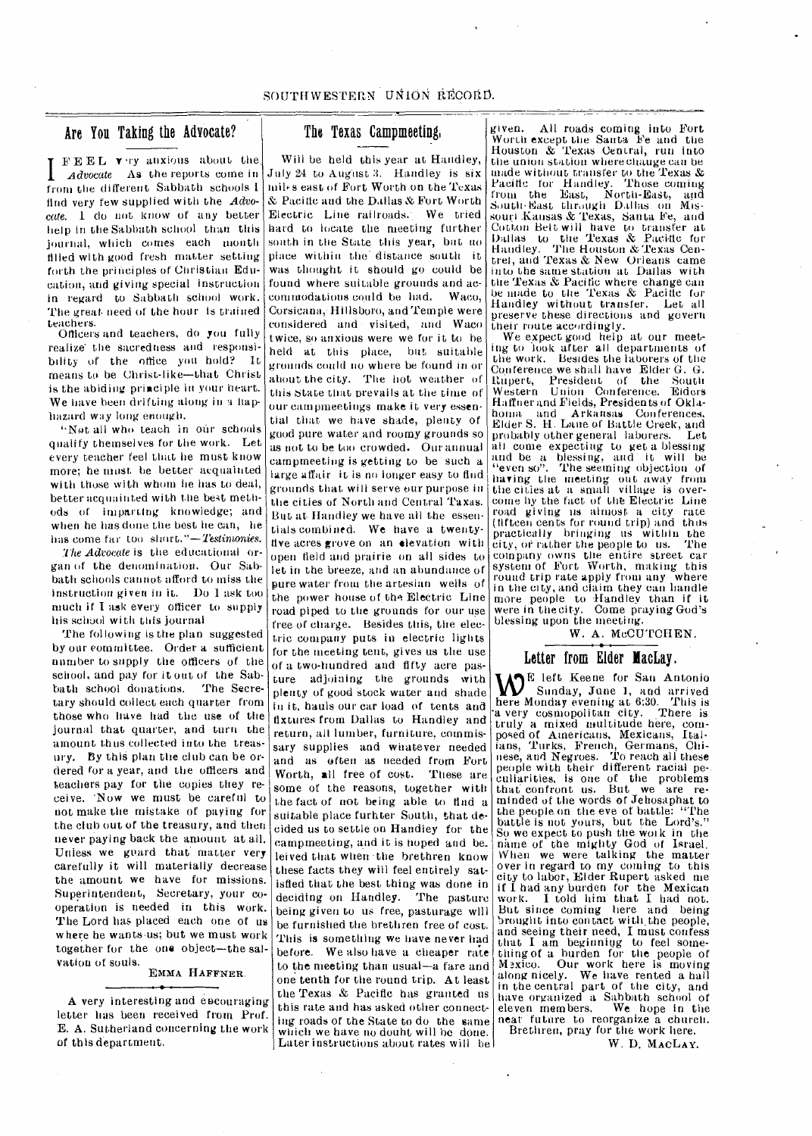# Are You Taking the Advocate?

I  $\mathbf{F} \mathbf{E} \mathbf{E} \mathbf{L}$  very anxious about the Advocate As the reports come in from the different Sabbath schools 1 find very few supplied with the Advo*cate.* I do not know of any better help in the Sabbath school than this journal, which comes each month tilled with good fresh matter setting forth the principles of Christian Education, and giving special instruction in regard to Sabbath school work. The great need of Lhe hour is trained teachers.

Officers and teachers, do you fully realize' the sacredness and responsibility of the office you hold? It means to be Christ-like—that Christ is the abiding principle in your heart. We have been drifting along in a haphazard way long enough.

"Not all who teach in our schools qualify themselves for the work. Let every teacher feel that he must know more; he must be better acquainted with those with whom he has to deal, better acquainted with the best methods of imparting knowledge; and when he has done the best he can, he has come far too short."—Testimonies.

*The Advocate* is the educational organ of the denomination. Our Sabbath schools cannot afford to miss the instruction given in it. Do 1 ask too much if I ask every officer to supply his school with this journal

The following is the plan suggested by our committee. Order a sufficient number to supply the officers of the school, and pay for it out of the Sabbath school donations. The Secretary should collect each quarter from those who have had the use of the journal that quarter, and turn the amount thus collected into the treasury. By this plan the club can be ordered for a year, and the officers and teachers pay for the copies they receive. 'Now we must be careful to not make the mistake of paying for the club out of the treasury, and then never paying back the amount at all. Unless we guard that matter very carefully it will materially decrease the amount we have for missions. Superintendent, Secretary, your cooperation is needed in this work. The Lord has placed each one of us where he wants-us; but we must work together for the one object—the salvation of souls.

#### EMMA HAFFNER.

A very interesting and encouraging letter has been received from Prof. E. A. Sutherland concerning the work of this department.

# The Texas Campmeeting,

Will be held this year at Handley, July 24 to August 3. Handley is six mils east of Fort Worth.on the Texas & Pacific and the Dallas & Fort Worth Electric Line railroads. We tried hard to locate the meeting further' south in the State this year, but no place within the distance south it was thought it should go could be found where suitable grounds and accommodations could be had. Waco, Corsicana,• Hillsboro, and Temple were considered and - visited, and Waco twice, so anxious were we for it to be held at this place, but suitable grounds could no where be found in or about the city. The hot weather of this state that prevails at the time of our campmeetings make it very essential that we have shade, plenty of good pure water and roomy grounds so as not to be too crowded. Our annual campmeeting is getting to be such a large affair it is no longer easy to find grounds that will serve our purpose in the cities of North and Central Taxas. But at Handley we have all the essentials combined. We have a twentylive acres grove on an elevation with open field and prairie on all sides to let in the breeze, and an abundance of pure water from the artesian wells of the power house of the Electric Line road piped to the grounds for our use free of charge. Besides this, the electric company puts in electric lights for the meeting tent, gives us the use of a two-hundred and fifty acre pasture adjoining the grounds with plenty of good Stock water and shade in it, hauls our car load of tents and fixtures from Dallas to Handley and return, all lumber, furniture, commissary supplies and whatever needed and as often as needed from Fort Worth, all free of cost. These are some of the reasons, together with the fact of not being able to find a suitable place furhter South, that decided us to settle on Handley for the campmeeting, and it is hoped and be\_ leived that when the brethren know these facts they will feel entirely satisfied that the best thing was done in deciding on Handley. The pasture being given to us free, pasturage will be furnished the brethren free of cost. This is something we have never had before. We also have a cheaper rate to the meeting than usual-a fare and one tenth for the round trip. At least the Texas & Pacific has granted us this rate and has asked other connecting roads of the State to do the same which we have no doubt will be done. Later instructions about rates will be

given. All roads coming into Fort Worth except the Santa Fe and the Houston & Texas Central, run into the union station where change can be made without transfer to the Texas & Pacific for Handley. Those coming from the East, North-East, and South-Bast through Dallas on Missouri Kansas & Texas, Santa Fe, and Cotton Belt will have to transfer at Dallas to the Texas & Pacific for Handley. The Houston &Texas Cen-Handley. The Houston & Texas Centref, and Texas & New Orleans came into the same station at Dallas with the Texas & Pacific where change can be made to the Texas & Pacific for Handley without transfer. Let all preserve these directions and govern their route accordingly.

We expect good help at our meeting to look after all departments of the work. Besides the laborers of the Conference we shall have Elder G. G. Rupert, President of the South Western Union Conference. Eiders Ha ffuer and Fields, Presidents of Oklahoma and Arkansas Conferences, Elder S. Lane of Battle Creek, and probably other general laborers. Let all come expecting to get a blessing and be a blessing, and it will be "even so". The seeming objection of having the meeting out away from the cities at a small village is overcome by the fact of the Electric Line road giving us almost a city rate (fifteen cents for round trip) and thus practically bringing us within the<br>city of rather the people to us. The city, or rather the people to us. company owns the entire street car system of Fort Worth, making this round trip rate apply from any where in the city, and claim they can handle more people to Handley than if it were in thecity. Come praying God's blessing upon the meeting.

W. A. McCUTCHEN.

# Letter from Elder MacLay.

E left Keene for San Antonio Sunday, June 1, and arrived here Monday evening at 6:30. This is 'a very cosmopolitan city. There is a very cosmopolitan city. There is<br>truly a mixed multitude here, composed of Americans, Mexicans, Italians, Turks, French, Germans, Chi-nese, and Negroes. To reach all these people with their different racial pe-. culiarities, is one of the problems that confront us. But we are re-minded of the words of Jehosaphat to the people on the eve of battle: "The battle is not yours, but the Lord's." So we expect to push the work in the name of the mighty God of Israel.<br>When we were talking the matter over in regard to my coming to this city to labor, Elder Rupert asked me if I had any burden for the Mexican work. I told him-that I had not. But since coming here and being brought into contact with the people, and seeing their need, I must confess that I am beginning to feel something of a burden for the people of Mexico. Our work here is moving<br>along nicely. We have rented a hall in the central part of the city, and<br>have organized a Sabbath school of<br>eleven members eleven members. We hope in the near future to reorganize a church. Brethren, pray for the work here.

W. D. MACLAY.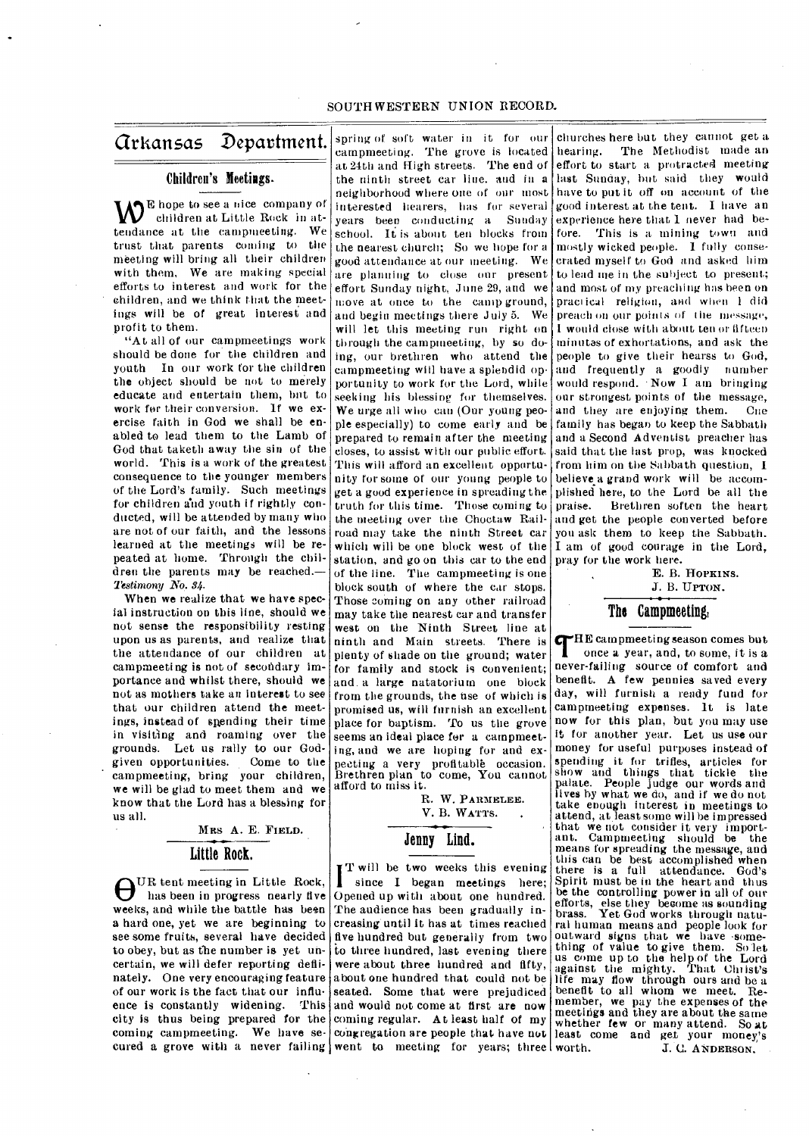# SOUTH WESTERN UNION RECORD.

# Arkansas Department.

# Children's Meetings.

AVE hope to see a nice company of children at Little Rock in at-**YV** children at Little Rock in attendance at the campmeeting. We trust that parents coming to the meeting will bring all their children with them, We are making special efforts to interest and work for the children, and we think that the meetings will be of great interest and profit to them.

"At all of our campmeetings work should be done for the children and youth In our work for the children the object should be not to merely educate and entertain them, but to work for their conversion. If we exercise faith in God we shall be enabled to lead them to the Lamb of God that taketh away the sin of the world. This is a work of the greatest consequence to the younger members of the Lord's family. Such meetings for children and youth if rightly conducted, will be attended by many who are not of our faith, and the lessons learned at the meetings will be repeated at home. Through the children the parents may be reached. *—*  Testimony No. 34.

When we realize that we have special instruction on this line, should we not sense the responsibility resting upon us as parents, and realize that the attendance of our children at campmeeting is not of secondary importance and whilst there, should we not as mothers take an interest to see that our children attend the meetings, instead of spending their time in visiting and roaming over the grounds. Let us rally to our God-<br>given opportunities. Come to the given opportunities. campmeeting, bring your children, we will be glad to meet them and we know that the Lord has a blessing for us all.

> MRS A. E. FIELD. Little Rock.

 $\bigoplus_{\text{has been in progress nearly five}}^{\text{UR} \text{ } \text{teent} \text{ } \text{} \text{ } \text{} \text{ } \text{}}$ has been in progress nearly five weeks, and while the battle has been a hard one, yet we are beginning to see some fruits, several have decided to obey, but as the number is yet uncertain, we will defer reporting deflinately. One very encouraging feature of our work is the fact that our influence is constantly widening. This city is thus being prepared for the coming campmeeting. We have se-

interested hearers, has for several years been conducting a Sunday school. It is about ten blocks from the nearest church; So we hope for a good attendance at, our meeting. We are planning to close our present effort Sunday night. June 29, and we move at once to the camp ground, and begin meetings there July 5. We will let this meeting run right on through the campmeeting, by so doing, our brethren who attend the campmeeting will have a splendid opportunity to work for the Lord, while seeking his blessing for themselves. We urge all who can (Our young people especially) to come early and be prepared to remain after the meeting closes, to assist with our public effort. This will afford an excellent opportunity for some of our young people to get a good experience in spreading the truth for this time. Those coming to the meeting over the Choctaw Railroad may take the ninth Street car which will be one block west of the station, and go on this car to the end of the line. The campmeeting is one block south of where the car stops. Those coming on any other railroad may take the nearest car and transfer west on the Ninth Street line at ninth and Main streets. There is plenty of shade on the ground; water for family and stock is convenient; and. a large natatorium one block from the grounds, the use of which is promised us, will furnish an excellent place for baptism. To us the grove seems an ideal place for a campmeeting, and we are hoping for and expecting a very profitable occasion. Brethren plan to come, You cannot afford to miss it.

> R. W. PARMELEE. V. B. WATTS.

# Jenny Lind.

cured a grove with a never failing went to meeting for years; three since I began meetings here; T will be two weeks this evening Opened up with about one hundred. The audience has been gradually increasing until it has at times reached five hundred but generally from two to three hundred, last evening there were about three hundred and fifty, about one hundred that could not be seated. Some that were prejudiced and would not come at first are now coming regular. At least half of my congregation are people that have not least come and get your money's

spring of soft water in it for our churches here but they cannot get a campmeeting. The grove is located hearing. The Methodist made an at 24th and High streets. The end of effort to start a protracted meeting the ninth street car line. and in a last Sunday, but said they would neighborhood where one of our roost have to put it off on account of the good interest at the tent. I have an experience here that I never had before. This is a mining town and mostly wicked people. 1 fully consecrated myself to God and asked him to lead me in the subject to present; and most of my preaching has been on practical religion, and when 1 did preach on our points of the message, I would close with about ten or fifteen ruin utas of exhortations, and ask the people to give their hearss to God, and frequently a goodly number would respond. • Now I am bringing our strongest points of the message, and they are enjoying them. Cne family has began to keep the Sabbath and a Second Adventist preacher has said that the last prop, was knocked from him on the Sabbath question, I believe a grand work will be accomplished here, to the Lord be all the praise. Brethren soften the heart and get the people converted before you ask them to keep the Sabbath. I am of good courage in the Lord, pray for the work here.

> E. B. HOPKINS. J. B. UPTON.

# The Campmeeting,

**THE** campmeeting season comes but<br>once a year, and, to some, it is a<br>never-failing source of comfort and HE campmeeting season comes but once a year, and, to some, it is *a*  benefit. A few pennies saved every day, will furnish a ready fund for camprneeting expenses. It is late now for this plan, but you may use it for another year. Let us use our money for useful purposes instead of spending it for trifles, articles for show and things that tickle the palate. People judge our words and lives by what we do, and if we do not take enough interest in meetings to attend, at least some will be impressed that we not consider it very import-ant. Campureeting should be the means for spreading the message, and this can be best accomplished when there is a full attendance. God's Spirit must be in the heart and thus be the controlling power in all of our efforts, else they become as sounding brass. Yet God works through natural human means and people look for outward signs that we have some-<br>thing of value to give them. So let us come up to the help of the Lord against the mighty. That (Artist's life may flow through ours and be a benefit to all whom we meet. Re-member, we pay the expenses of the meetings and they are about the same whether few or many attend. So at J. C. ANDERSON.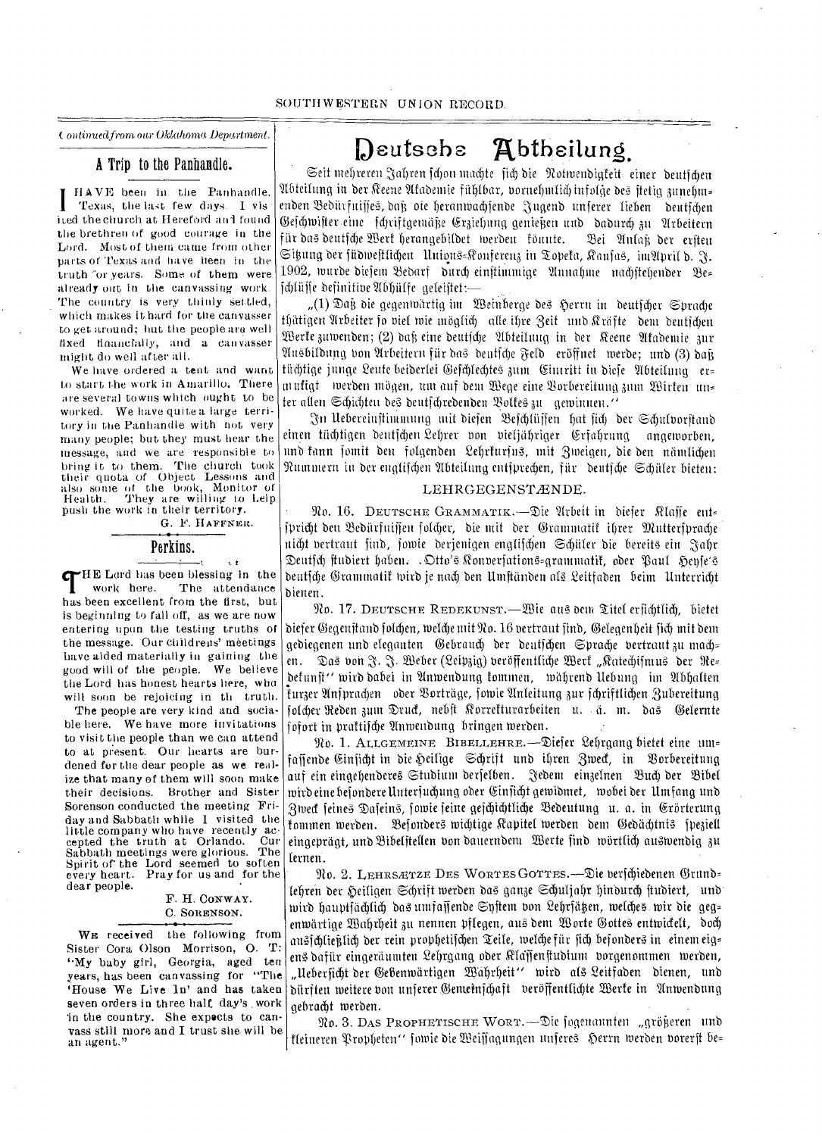*wainvedfrom our Oklahoma Department.* 

# A Trip to the Panhandle.

HAVE been in the Panhandle, **I** Texas, the last few days. I Vis ited the church at Hereford and found the brethren of good courage in the Lord. Most of them carne from other parts or Texas and have been in the truth "or years. Some of them were already out in the canvassing work. The country is very thinly settled, which makes it hard for the canvasser to get around; but the people are well fixed financially, and a eanvasser might do well after all.

We have ordered a tent and want to start the work in Amarillo. There are several towns which ought to be worked. We have quite a large territory in the Panhandle with not very many people; but they must hear the message, and we are responsible to bring it to them. The church took their quota of Object Lessons and also some of the book, Monitor of Health. They are willing to Lelp push the work in their territory.

G. F. HAFFNER.

τł

# Perkins.

**THE** Lard has been blessing in the work here. The attendance has been excellent from the first, but HE Lord has been blessing in the<br>work here. The attendance The attendance is beginning to fall off, as we are now entering upon the testing truths of the message. Our child rens' meetings have aided materially in gaining the good will of the people. We believe the Lord has honest hearts here, who will soon be rejoicing in the truth.

The people are very kind and sociable here. We have more invitations to visit the people than we can attend to at present. Our hearts are burdened for the dear people as we realize that many of them will soon make their decisions. Brother and Sister Sorenson conducted the meeting Friday and Sabbath while I visited the little company who have recently ac-<br>cented the truth at Orlando. Cur cepted the truth at Orlando. Sabbath meetings were glorious. The Spirit of the Lord seemed to soften every heart. Pray for us and for the dear people.

# F. H. CONWAY. C. SORENSON.

WE received the following from Sister Cora Olson Morrison, 0. T: "My baby girl, Georgia, aged ten years, has been canvassing for "The 'House We Live ln' and has taken seven orders in three half day's . work in the country. She expects to canvass still more and I trust she will be an agent."

# Deutsche **A**btheilung

Seit mehreren Jahren fchon machte fich die Notwendigteit, einer deutfchen 9Ibteitung in bet Beene 9ttabentie filbfbar, bornebnitieb infotcle bey ftetig 3ttnefun= enden Bedürfuisse, daß ote heranwachsende Jugend unferer lieben deutfchen @ejebtuifter.eitte )- briftgentithe (r3lebting genief3en nub babureb 3u 9trbeitern für das deutsche Wert herangebildet werden fönnte. Dei Anlaß der ersten Sihung der füdweftlichen Unions=Konferenz in Topeta, Ranfas,  $\text{inv}\left( \mathbf{b}, \, \mathbf{y} \right)$ 1902, wurde diesem Bedarf durch einstimmige Annahme nachstehender Be= jCiiffe befinitibe 9Thbiiffe geteijtet:—

" $(1)$  Dağ die gegenwärtig im Weinberge des Herrn in deutscher Sprache thätigen Arbeiter fo viel wie möglich) alle ihre Zeit und Kräfte dem deutichen Vette 3umenben; (2) ball eine beutjdy 2tbteilung in ber Beene 91tabentie Sur 911tbitbutiq bon 9frbeitern fur bay beutfebe Seib eriiffnet merbe; unb (3) ball tüchtige junge Leute beiberlei Gefchlechtes zum Cintritt in bieje Abteilung er= nittfigt merben mogen, tint auf bent Sege eine Z;orbereituna 3um 2z3irfen tin= ter allen Schichten des deutschredenden Bolkes zu gewinnen."

.;911. Ilebereinftintinung mit biejen Ziefeblujjett bat fid) her Sibufborjtanb einen tüchtigen deutfchen Lehrer von vieljähriger Erfahrung angeworben, und fann jomit den folgenden Lehrfurjus, mit Zweigen, die den nämtichen Nummern in der englischen Abteilung entsprechen, für deutsche Schüler bieten:

## LEHRGEGENSTÆNDE.

To. 16. DEUTSCHE GRAMAIATIK.—Zie 9frbeit in biefer Rfajle tut= jpricht den Bedürfniffen folcher, die mit der Grammatik ihrer Muttersprache nicht vertraut sind, sowie derjenigen englifchen Schüler die bereits ein Jahr Deutsch studiert haben. . Otto's Konversations=grammatit, oder Paul Hense's beutjdy Orammatif mirk je nod) ben Umftiinben al? 2eitlaben beim linterrid)t bienen.

No. 17. DEUTSCHE REDEKUNST.—Wie aus dem Titel ersichtlich, bietet biefer Gegenstand folchen, welche mit No. 16 vertraut find, Gelegenheit fich mit dem gediegenen und eleganten Gebrauch der deutschen Sprache vertraut zu mach= en. Das von J. J. Weber (Leipzig) veröffentliche Werk "Katechifmus der Re= betunft" tuirb babei itt 9tnivenbung tommen, tviibrenb liebung im 9ibbatten furzer Anfprachen oder Borträge, fowie Anleitung zur fchriftlichen Zubereitung folcher Reden zum Druck, nebft Korrekturarbeiten u. ä. m. das Gelernte jofort in prattifdy 91ntuenbung bringen merben.

No. 1. ALLGEMEINE BIBELLEHRE.—Ziefer 2ebrgang bietet eine unt-, faffende Einficht in die Heilige Schrift und ihren Zweck, in Borbereitung auf ein eingehenderes Studium derfelben. "Jedem einzelnen Buch der Bibel tuirb eine befonberelinterjucbung ober 0Infiibt gemibmet, mobei ber Ilmfang unb Zweck feines Dafeins, fowie feine gefchichtliche Bedeutung u. a. in Erörterung fommen werden. Befonders wichtige Kapitel werden dem Gedächtnis speziell eingeprägt, und Bibelstellen von dauerndem Werte find wörtlich auswendig zu lernen.

No. 2. LEHRSÆTZE DES WORTES GOTTES.—Die verschiedenen Grund= febren ber Sebrift merben bay gan3e Scbufiabr binburcb ftubiert, nub' wird hauptfächlich das umfaffende Syftem von Lehrfätzen, welches wir die geg= enwärtige Wahrheit zu nennen pflegen, aus dem Worte Gottes entwickelt, doch ansfălieklich der rein prophetifăen Teile, welche für fich befonders in einem eig= enb bafiir eingerduntten 2ebrgang. ober Rtaffenftubium burgenontmen merben, "Uebersicht der Gebenwärtigen Wahrheit" wird als Leitfaden dienen, und biirf ten meitere ban unferer Oemeinfebalt beritenttid)te Vette in finvenbung gebracht werden.

 $\mathfrak{R}_{0.3}$ . Das Prophetische Wort.—Die fogenannten "größeren und ffeineren Tropf)eten" fowie bie Ueiffaclitngen iiferef) g)errn tverben barer ft be=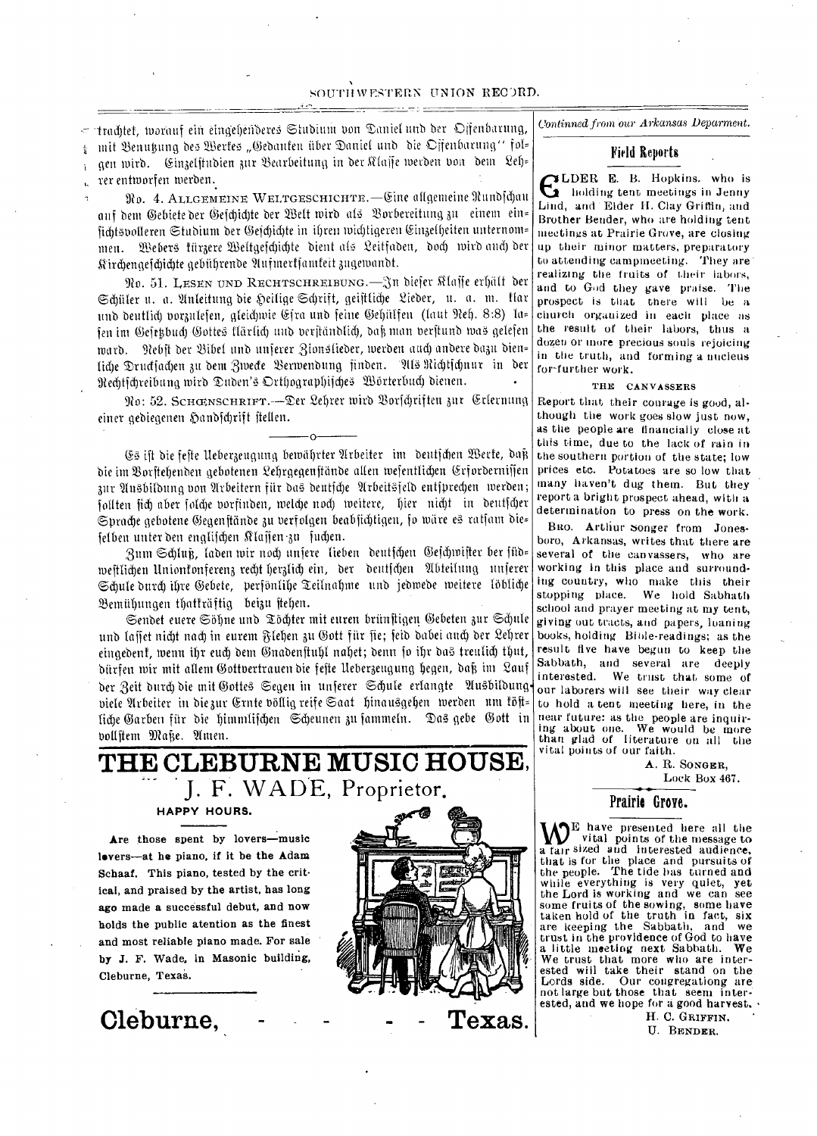trachtet, worauf ein eingehenderes Studium von Daniel und der Offenbarung,  $\sigma^{\mu\nu}$ mit Benutung des Wertes "Gedanten über Daniel und die Offenbarung" fol= gen wird. Ginzelstudien zur Bearbeitung in der Klasse werden von dem Leh= rer enttnorfen merben.

 $\frac{1}{2}$ 

 $\mathbf{t}$ 

No. 4. ALLGEMEINE WELTGESCHICHTE.—Line aftgemeine Nunbithan auf dem Gebiete der Geschichte der Welt wird als Borbereitung zu einem ein= fidU6nolleren Stubiuni bet: (fiefchithte in ihren toidtligereit (5.:,irtietheiten unternorn= men. Webers türzere Weltgefchichte dient als Leitfaden, doch wird anch der qirchengefcbidtte gebitbrenbe 9tufinertjamteit 3ugemanbt.

No. 51. LESEN UND RECHTSCHREIBUNG.-In dieser Klasse erhält der Schüler u. a. Anleitung die Heilige Schrift, geistliche Lieder, u. a. m. Kar und deutlich vorzulefen, gleichwie Gira und feine Gehülfen (laut Neh. 8:8) la= fen im Gefetzbuch Gottes flärlich und verständlich, daß man verstund was gelefen ward. Rebst der Bibel und unserer Zionslieder, werden auch andere dazu dien= liche Druckjachen zu dem Zwecke Berwendung finden. Uls Richtschnur in der Rechtscheibung wird Duden's Orthographisches Worterbuch dienen.

91o: 52. SCHCENSCHRIF'r.--Ter Sebrer mirb &rfihriften Sur q..rternting einer gediegenen Handschrift stellen.

 $O^{-}$ 

(.4 ift bie fefte lleber3eugung bemahrter 9trbeiter im bentj(hen Berte, bait die im Borftehenden gebotenen Lehrgegenftände allen wesentlichen Erforderniffen zur Ausbildung von Arbeitern für das deutfche Arbeitsfeld entsprechen werden; follten fich aber folche vorfinden, welche noch weitere, hier nicht in deutscher Sprache gebotene Gegenstände zu verfolgen beabfichtigen, fo wäre es ratfam die= felben unter den englischen Klassen-zu fuchen.

,aunt Sdttuf3, fatten mit nod) unfere lichen beutfcben Wejdnoifter ber tub= westlichen Unionfonferenz recht herzlich ein, der deutschen Abteilung unserer Schule durch ihre Gebete, perfönlihe Teilnahme und jedwede weitere löbliche Bemühungen thatkräftig beizu stehen.

Sendet euere Söhne und Töchter mit euren brünstigen Gebeten zur Schule und laffet nicht nach in eurem Flehen zu Gott für fie; feid dabei auch der Lehrer eingedent, wenn ihr euch dem Gnadenstuhl nahet; denn so ihr das treulich thut, bitrfen min mit atlem (3ottoertrauen bie fefte lteber3eugung hegen, bafi tin 2auf der Zeit durch die mit Gottes Segen in unferer Schule erlangte Ausbildung viele Arbeiter in diezur Ernte völlig reife Saat hinausgehen werden um föft= liche Garben für die himmlischen Scheunen zu sammeln. Das gebe Gott in vollstem Maße. Amen.

# **THE CLEBURNE MUSIC HOUSE,**  J. F. WADE, Proprietor,

**HAPPY HOURS.** 

Are those spent by lovers—music levers—at he piano, if it be the Adam Schaaf. This piano, tested by the critical, and praised by the artist, has long ago made a successful debut, and now holds the public atention as the finest and most reliable piano made. For sale **by J.** F. Wade, in Masonic building, Cleburne, Texas.



**- Texas.** 

*Continned from our Arkansas Deparment.* 

# Field Reports

LDER E. B. Hopkins. who is holding tent meetings in Jenny Lind, and • Elder H. Clay Griffin, and Brother Bender, who are holding tent meetings at Prairie Grove, are closing up their minor matters, preparatory to attending campmeeting,. They are' realizing the fruits of their labors, and to God they gave praise. The prospect is that there will be a church organized in each place as the result of their labors, thus a dozen or more precious souls rejoicing in the truth, and forming a nucleus for-further work.

#### THE CANVASSERS

Report that their courage is good, although the work goes slow just now, as the people are financially close at this time, due to the lack of rain in the southern portion of the state; low prices etc. Potatoes are so low that, many haven't dug them. But they report a bright prospect ahead, with a determination to press on the work.

BRO. Arthur songer from Jonesboro, Arkansas, writes that there are several of the canvassers, who are working in this place and surrounding country, who make this their stopping place. We hold Sabbath school and prayer meeting at my tent, giving out tracts, and papers, loaning books, holding Bible-readings; as the result five have begun to keep the Sabbath, and several are deeply interested. We trust that some of our laborers will see their way clear to hold a tent meeting here, in the near future: as the people are inquiring about one. We would be more than glad of literature on all the vital points of our faith.

> A. R. SONGER, Lock Box 467.

Prairie Grove.

 $\mathbf{W}^{\text{E}}$  have presented here all the vital points of the message to a raight state and interested audience. a fair sized and interested audience, that is for the place and pursuits of the people. The tide has turned and while everything is very quiet, yet the Lord is working and we can some fruits of the sowing, some have taken hold of the truth in fact, six are keeping the Sabbath, and we trust in the providence of God to have a little meeting next Sabbath. We We trust that more who are interested will take their stand on the Lords side. Our congregationg are Our congregationg are not large but those that seem interested, and we hope for a good harvest. •

H. C. GRIFFIN. U. BENDER.

**Cleburne,**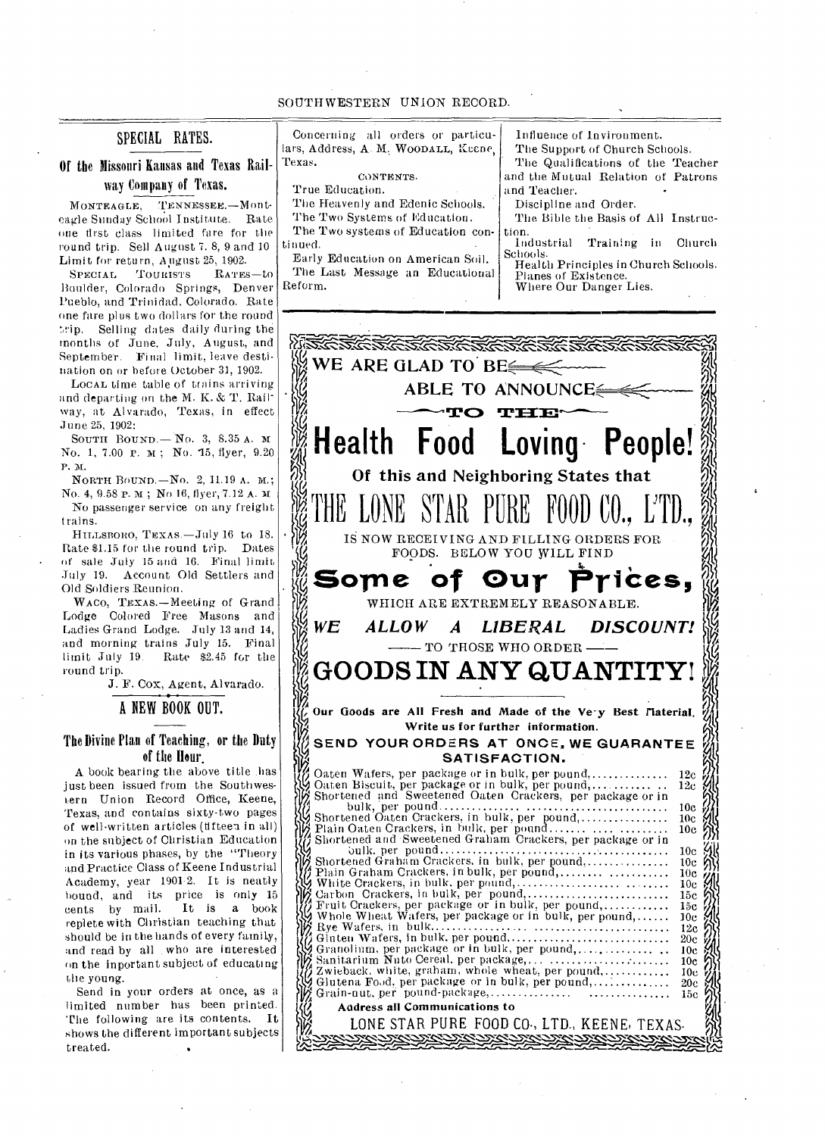#### SOUTHWESTERN UNION RECORD.

# SPECIAL RATES.

# Of the Missouri Kansas and Texas Railway Company of Texas.

MONTEAGLE, TENNESSEE.—Monteagle Sunday School Institute. Rate one first class limited fare for the round trip. Sell August 7. 8, 9 and 10

Limit for return, August 25, 1902.<br>SPECIAL TOURISTS RATES  $R_{\rm ATES}$  -to Boulder, Colorado Springs, Denver Pueblo, and Trinidad. Colorado. Rate one fare plus two dollars for the round trip. Selling dates daily during the months of June. July, August, and September. Final limit, leave destination on or before October 31, 1902.

LOCAL time table of trains arriving and departing on the M. K. & T. Railway, at Alvarado, Texas, in effect June 25, 1902:

SOUTH BOUND.— No. 3, 8.35 A. No. 1, 7.00 P. M; No. 15, flyer, 9.20 P. N.

NORTH BOUND.—NO. 2, 11.19 A. M.; No. 4, 9.58 p. M; No 16, flyer, 7.12 A. M.

No passenger service on any freight trains.

HILLSBORO, TEXAS.—July 16 to 18. Rate \$1.15 for the round trip. Dates of sale July 15 and 16. Final limit July 19. Account Old Settlers and Old Soldiers Reunion.

WAco, TEXAS.—Meeting of Grand Lodge Colored Free Masons and Ladies Grand Lodge. July 13 and 14, and morning trains July 15. Final Rate \$2.45 for the round trip.

J. F. Cox, Agent, Alvarado.

A NEW BOOK OUT.

# The Divine Plan of Teaching, or the Duty of the Hour.

A book bearing the above title .has just been issued from the Southwestern Union Record Office, Keene, Texas, and contains sixty-two pages of well-written articles (fifteen in all) on the subject of Christian Education in its various phases, by the "Theory and Practice Class of Keene Industrial Academy, year 1901-2. It is neatly bound, and its price is only 15<br>cents by mail. It is a book It is a book replete with Christian teaching that should be in the hands of every family, and read by all who are interested on the inportant subject of educating the young.

Send in your orders at once, as a limited number has been printed. The following are its contents. It shows the different important subjects treated.

tion. Schools. Concerning all orders or partic lars, Address, A. M. WOODALL, Keen Texas. CONTENTS. True Education. The Heavenly and Edenic Schools. The Two Systems of Education. The Two systems of Education co tinued. Early Education on American Soil.

The Last Message an Educational Reform.

| u-  | Influence of Invironment.                                             |  |  |  |
|-----|-----------------------------------------------------------------------|--|--|--|
| ie, | The Support of Church Schools.                                        |  |  |  |
|     | The Qualifications of the Teacher                                     |  |  |  |
|     | and the Mutual Relation of Patrons                                    |  |  |  |
|     | and Teacher.                                                          |  |  |  |
| рÓ  | Discipline and Order.                                                 |  |  |  |
|     | The Bible the Basis of All Instruc-                                   |  |  |  |
| ņ.  |                                                                       |  |  |  |
|     | Industrial Training in Church                                         |  |  |  |
|     | Schools.<br> <br>  Schools.<br>  Health Principles in Church Schools. |  |  |  |
|     |                                                                       |  |  |  |

Planes of Existence. Where Our Danger Lies.